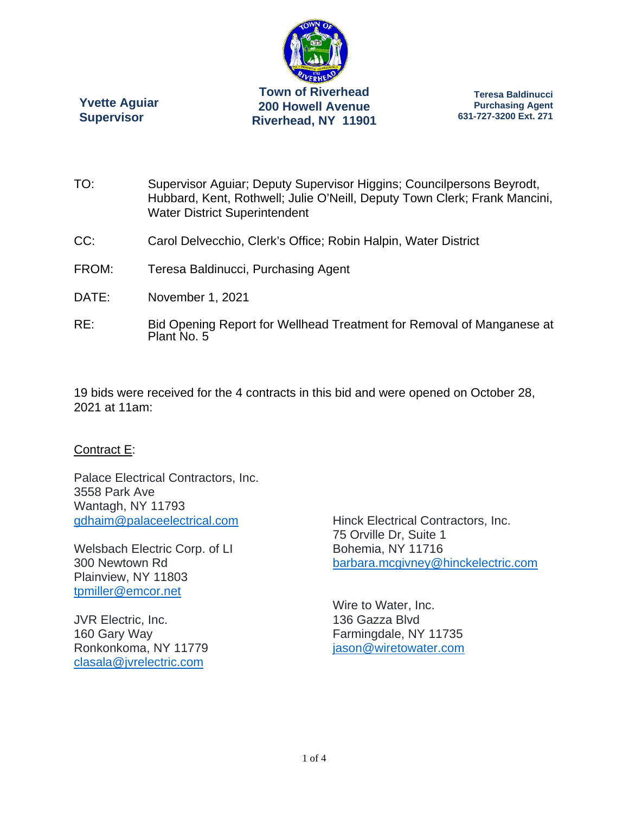

**Yvette Aguiar Supervisor** 

**Teresa Baldinucci Purchasing Agent 631-727-3200 Ext. 271** 

- TO: Supervisor Aguiar; Deputy Supervisor Higgins; Councilpersons Beyrodt, Hubbard, Kent, Rothwell; Julie O'Neill, Deputy Town Clerk; Frank Mancini, Water District Superintendent
- CC: Carol Delvecchio, Clerk's Office; Robin Halpin, Water District
- FROM: Teresa Baldinucci, Purchasing Agent
- DATE: November 1, 2021
- RE: Bid Opening Report for Wellhead Treatment for Removal of Manganese at Plant No. 5

19 bids were received for the 4 contracts in this bid and were opened on October 28, 2021 at 11am:

#### Contract E:

Palace Electrical Contractors, Inc. 3558 Park Ave Wantagh, NY 11793 gdhaim@palaceelectrical.com

Welsbach Electric Corp. of LI 300 Newtown Rd Plainview, NY 11803 tpmiller@emcor.net

JVR Electric, Inc. 160 Gary Way Ronkonkoma, NY 11779 clasala@jvrelectric.com

Hinck Electrical Contractors, Inc. 75 Orville Dr, Suite 1 Bohemia, NY 11716 barbara.mcgivney@hinckelectric.com

Wire to Water, Inc. 136 Gazza Blvd Farmingdale, NY 11735 jason@wiretowater.com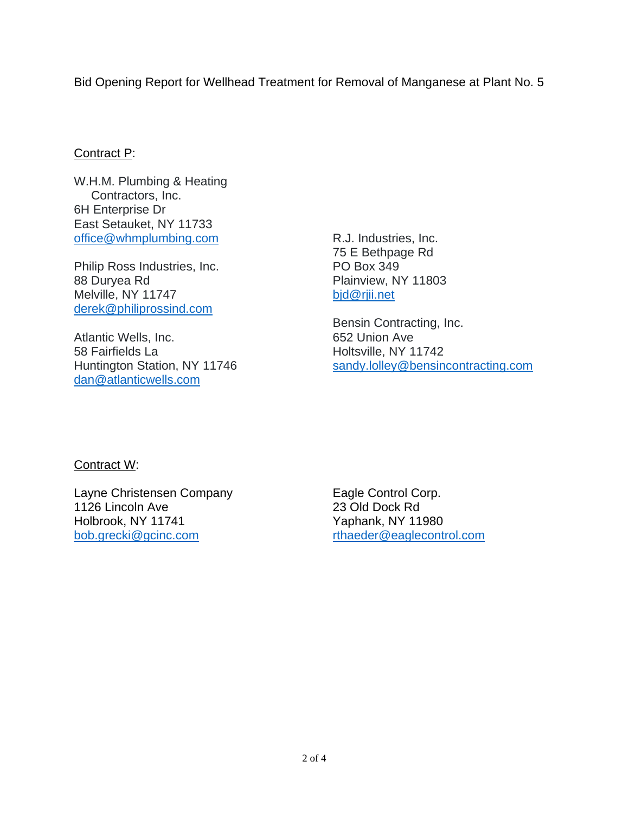Bid Opening Report for Wellhead Treatment for Removal of Manganese at Plant No. 5

# Contract P:

W.H.M. Plumbing & Heating Contractors, Inc. 6H Enterprise Dr East Setauket, NY 11733 office@whmplumbing.com

Philip Ross Industries, Inc. 88 Duryea Rd Melville, NY 11747 derek@philiprossind.com

Atlantic Wells, Inc. 58 Fairfields La Huntington Station, NY 11746 dan@atlanticwells.com

R.J. Industries, Inc. 75 E Bethpage Rd PO Box 349 Plainview, NY 11803 bjd@rjii.net

Bensin Contracting, Inc. 652 Union Ave Holtsville, NY 11742 sandy.lolley@bensincontracting.com

## Contract W:

Layne Christensen Company 1126 Lincoln Ave Holbrook, NY 11741 bob.grecki@gcinc.com

Eagle Control Corp. 23 Old Dock Rd Yaphank, NY 11980 rthaeder@eaglecontrol.com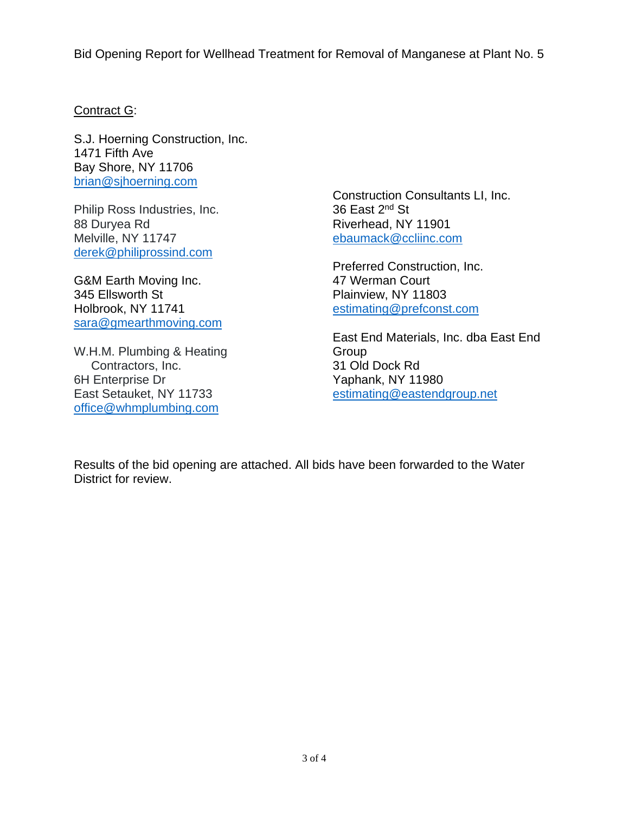Bid Opening Report for Wellhead Treatment for Removal of Manganese at Plant No. 5

### Contract G:

S.J. Hoerning Construction, Inc. 1471 Fifth Ave Bay Shore, NY 11706 brian@sjhoerning.com

Philip Ross Industries, Inc. 88 Duryea Rd Melville, NY 11747 derek@philiprossind.com

G&M Earth Moving Inc. 345 Ellsworth St Holbrook, NY 11741 sara@gmearthmoving.com

W.H.M. Plumbing & Heating Contractors, Inc. 6H Enterprise Dr East Setauket, NY 11733 office@whmplumbing.com

Construction Consultants LI, Inc. 36 East 2<sup>nd</sup> St Riverhead, NY 11901 ebaumack@ccliinc.com

Preferred Construction, Inc. 47 Werman Court Plainview, NY 11803 estimating@prefconst.com

East End Materials, Inc. dba East End **Group** 31 Old Dock Rd Yaphank, NY 11980 estimating@eastendgroup.net

Results of the bid opening are attached. All bids have been forwarded to the Water District for review.